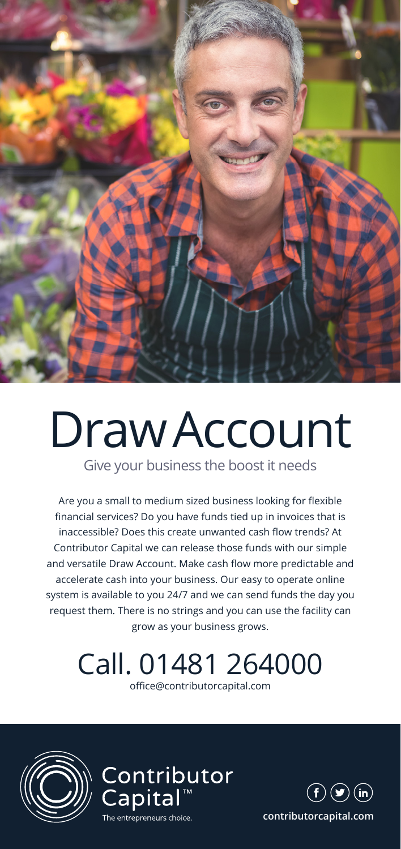

# Draw Account

Give your business the boost it needs

Are you a small to medium sized business looking for flexible financial services? Do you have funds tied up in invoices that is inaccessible? Does this create unwanted cash flow trends? At Contributor Capital we can release those funds with our simple and versatile Draw Account. Make cash flow more predictable and accelerate cash into your business. Our easy to operate online system is available to you 24/7 and we can send funds the day you request them. There is no strings and you can use the facility can grow as your business grows.

#### Call. 01481 264000

office@contributorcapital.com







**contributorcapital.com**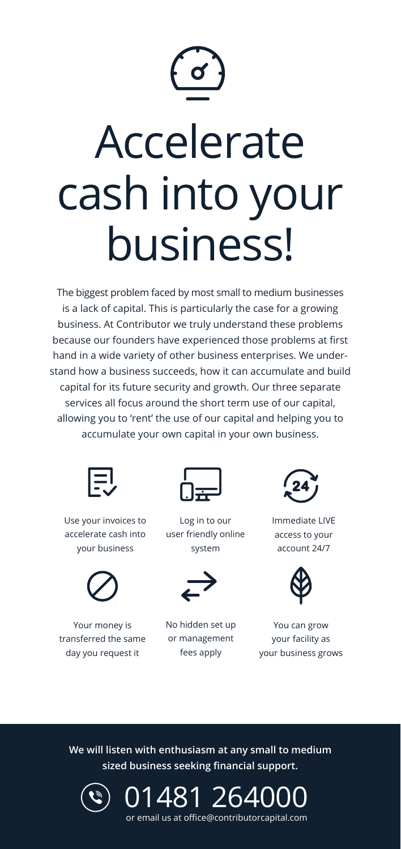

## Accelerate cash into your business!

The biggest problem faced by most small to medium businesses is a lack of capital. This is particularly the case for a growing business. At Contributor we truly understand these problems because our founders have experienced those problems at first hand in a wide variety of other business enterprises. We understand how a business succeeds, how it can accumulate and build capital for its future security and growth. Our three separate services all focus around the short term use of our capital, allowing you to 'rent' the use of our capital and helping you to accumulate your own capital in your own business.



Use your invoices to accelerate cash into your business



Your money is transferred the same day you request it



Log in to our user friendly online system



No hidden set up or management fees apply



Immediate LIVE access to your account 24/7



You can grow your facility as your business grows

**We will listen with enthusiasm at any small to medium sized business seeking financial support.**



01481 264000 or email us at office@contributorcapital.com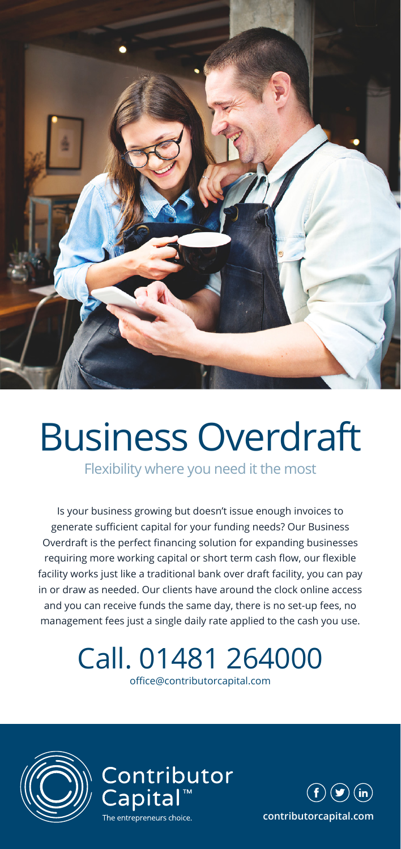

### Business Overdraft

Flexibility where you need it the most

Is your business growing but doesn't issue enough invoices to generate sufficient capital for your funding needs? Our Business Overdraft is the perfect financing solution for expanding businesses requiring more working capital or short term cash flow, our flexible facility works just like a traditional bank over draft facility, you can pay in or draw as needed. Our clients have around the clock online access and you can receive funds the same day, there is no set-up fees, no management fees just a single daily rate applied to the cash you use.

#### Call. 01481 264000

office@contributorcapital.com







**contributorcapital.com**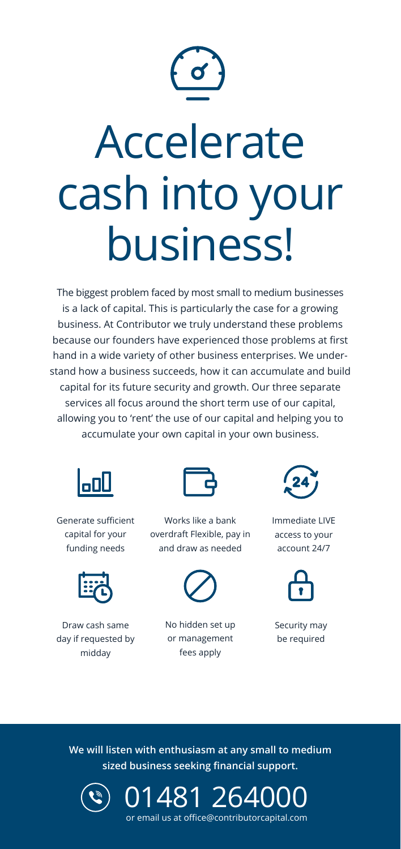

## Accelerate cash into your business!

The biggest problem faced by most small to medium businesses is a lack of capital. This is particularly the case for a growing business. At Contributor we truly understand these problems because our founders have experienced those problems at first hand in a wide variety of other business enterprises. We understand how a business succeeds, how it can accumulate and build capital for its future security and growth. Our three separate services all focus around the short term use of our capital, allowing you to 'rent' the use of our capital and helping you to accumulate your own capital in your own business.



Generate sufficient capital for your funding needs



Draw cash same day if requested by midday



Works like a bank overdraft Flexible, pay in and draw as needed



No hidden set up or management fees apply



Immediate LIVE access to your account 24/7



Security may be required

**We will listen with enthusiasm at any small to medium sized business seeking financial support.**



01481 26400 or email us at office@contributorcapital.com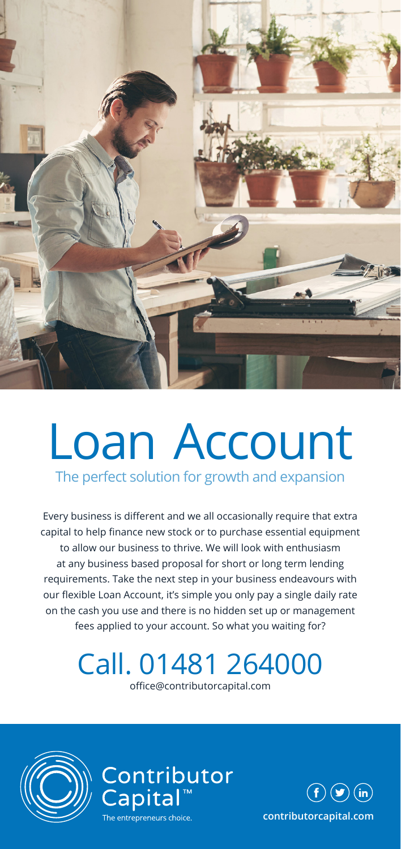

### Loan Account

The perfect solution for growth and expansion

Every business is different and we all occasionally require that extra capital to help finance new stock or to purchase essential equipment to allow our business to thrive. We will look with enthusiasm at any business based proposal for short or long term lending requirements. Take the next step in your business endeavours with our flexible Loan Account, it's simple you only pay a single daily rate on the cash you use and there is no hidden set up or management fees applied to your account. So what you waiting for?

#### Call. 01481 264000

office@contributorcapital.com

Contributor<br>Capital™





**contributorcapital.com**